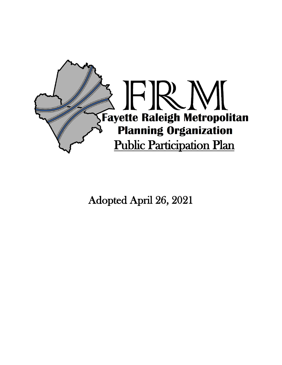

Adopted April 26, 2021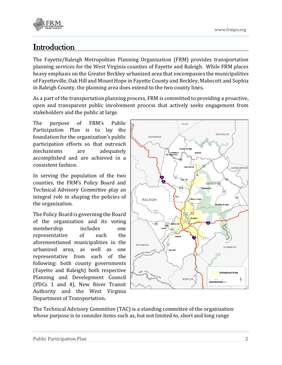

# **Introduction**

The Fayette/Raleigh Metropolitan Planning Organization (FRM) provides transportation planning services for the West Virginia counties of Fayette and Raleigh. While FRM places heavy emphasis on the Greater Beckley urbanized area that encompasses the municipalities of Fayetteville, Oak Hill and Mount Hope in Fayette County and Beckley, Mabscott and Sophia in Raleigh County, the planning area does extend to the two county lines.

As a part of the transportation planning process, FRM is committed to providing a proactive, open and transparent public involvement process that actively seeks engagement from stakeholders and the public at large.

The purpose of FRM's Public Participation Plan is to lay the foundation for the organization's public participation efforts so that outreach mechanisms are adequately accomplished and are achieved in a consistent fashion.

In serving the population of the two counties, the FRM's Policy Board and Technical Advisory Committee play an integral role in shaping the policies of the organization.

The Policy Board is governing the Board of the organization and its voting membership includes one representative of each the aforementioned municipalities in the urbanized area, as well as one representative from each of the following: both county governments (Fayette and Raleigh) both respective Planning and Development Council (PDCs 1 and 4), New River Transit Authority and the West Virginia Department of Transportation.



The Technical Advisory Committee (TAC) is a standing committee of the organization whose purpose is to consider items such as, but not limited to, short and long range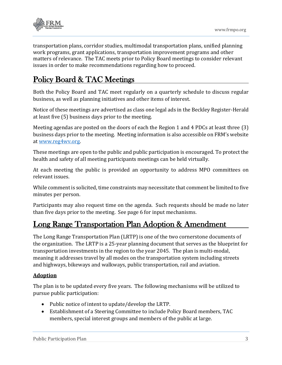

transportation plans, corridor studies, multimodal transportation plans, unified planning work programs, grant applications, transportation improvement programs and other matters of relevance. The TAC meets prior to Policy Board meetings to consider relevant issues in order to make recommendations regarding how to proceed.

# Policy Board & TAC Meetings

Both the Policy Board and TAC meet regularly on a quarterly schedule to discuss regular business, as well as planning initiatives and other items of interest.

Notice of these meetings are advertised as class one legal ads in the Beckley Register-Herald at least five (5) business days prior to the meeting.

Meeting agendas are posted on the doors of each the Region 1 and 4 PDCs at least three (3) business days prior to the meeting. Meeting information is also accessible on FRM's website at [www.reg4wv.org.](http://www.reg4wv.org/) 

These meetings are open to the public and public participation is encouraged. To protect the health and safety of all meeting participants meetings can be held virtually.

At each meeting the public is provided an opportunity to address MPO committees on relevant issues.

While comment is solicited, time constraints may necessitate that comment be limited to five minutes per person.

Participants may also request time on the agenda. Such requests should be made no later than five days prior to the meeting. See page 6 for input mechanisms.

## Long Range Transportation Plan Adoption & Amendment

The Long Range Transportation Plan (LRTP) is one of the two cornerstone documents of the organization. The LRTP is a 25-year planning document that serves as the blueprint for transportation investments in the region to the year 2045. The plan is multi-modal, meaning it addresses travel by all modes on the transportation system including streets and highways, bikeways and walkways, public transportation, rail and aviation.

#### **Adoption**

The plan is to be updated every five years. The following mechanisms will be utilized to pursue public participation:

- Public notice of intent to update/develop the LRTP.
- Establishment of a Steering Committee to include Policy Board members, TAC members, special interest groups and members of the public at large.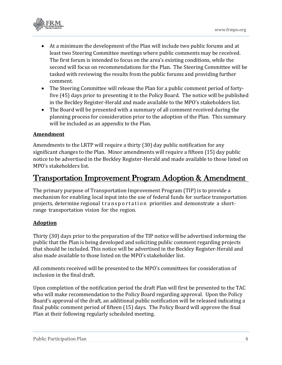

- At a minimum the development of the Plan will include two public forums and at least two Steering Committee meetings where public comments may be received. The first forum is intended to focus on the area's existing conditions, while the second will focus on recommendations for the Plan. The Steering Committee will be tasked with reviewing the results from the public forums and providing further comment.
- The Steering Committee will release the Plan for a public comment period of fortyfive (45) days prior to presenting it to the Policy Board. The notice will be published in the Beckley Register-Herald and made available to the MPO's stakeholders list.
- The Board will be presented with a summary of all comment received during the planning process for consideration prior to the adoption of the Plan. This summary will be included as an appendix to the Plan.

#### **Amendment**

Amendments to the LRTP will require a thirty (30) day public notification for any significant changes to the Plan. Minor amendments will require a fifteen (15) day public notice to be advertised in the Beckley Register-Herald and made available to those listed on MPO's stakeholders list.

### Transportation Improvement Program Adoption & Amendment

The primary purpose of Transportation Improvement Program (TIP) is to provide a mechanism for enabling local input into the use of federal funds for surface transportation projects, determine regional transportation priorities and demonstrate a shortrange transportation vision for the region.

#### **Adoption**

Thirty (30) days prior to the preparation of the TIP notice will be advertised informing the public that the Plan is being developed and soliciting public comment regarding projects that should be included. This notice will be advertised in the Beckley Register-Herald and also made available to those listed on the MPO's stakeholder list.

All comments received will be presented to the MPO's committees for consideration of inclusion in the final draft.

Upon completion of the notification period the draft Plan will first be presented to the TAC who will make recommendation to the Policy Board regarding approval. Upon the Policy Board's approval of the draft, an additional public notification will be released indicating a final public comment period of fifteen (15) days. The Policy Board will approve the final Plan at their following regularly scheduled meeting.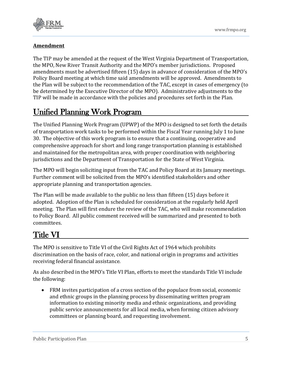

#### **Amendment**

The TIP may be amended at the request of the West Virginia Department of Transportation, the MPO, New River Transit Authority and the MPO's member jurisdictions. Proposed amendments must be advertised fifteen (15) days in advance of consideration of the MPO's Policy Board meeting at which time said amendments will be approved. Amendments to the Plan will be subject to the recommendation of the TAC, except in cases of emergency (to be determined by the Executive Director of the MPO). Administrative adjustments to the TIP will be made in accordance with the policies and procedures set forth in the Plan.

# Unified Planning Work Program

The Unified Planning Work Program (UPWP) of the MPO is designed to set forth the details of transportation work tasks to be performed within the Fiscal Year running July 1 to June 30. The objective of this work program is to ensure that a continuing, cooperative and comprehensive approach for short and long range transportation planning is established and maintained for the metropolitan area, with proper coordination with neighboring jurisdictions and the Department of Transportation for the State of West Virginia.

The MPO will begin soliciting input from the TAC and Policy Board at its January meetings. Further comment will be solicited from the MPO's identified stakeholders and other appropriate planning and transportation agencies.

The Plan will be made available to the public no less than fifteen (15) days before it adopted. Adoption of the Plan is scheduled for consideration at the regularly held April meeting. The Plan will first endure the review of the TAC, who will make recommendation to Policy Board. All public comment received will be summarized and presented to both committees.

# Title VI

The MPO is sensitive to Title VI of the Civil Rights Act of 1964 which prohibits discrimination on the basis of race, color, and national origin in programs and activities receiving federal financial assistance.

As also described in the MPO's Title VI Plan, efforts to meet the standards Title VI include the following:

• FRM invites participation of a cross section of the populace from social, economic and ethnic groups in the planning process by disseminating written program information to existing minority media and ethnic organizations, and providing public service announcements for all local media, when forming citizen advisory committees or planning board, and requesting involvement.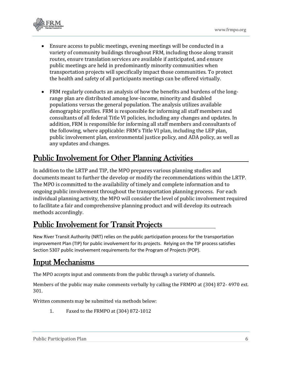

- Ensure access to public meetings, evening meetings will be conducted in a variety of community buildings throughout FRM, including those along transit routes, ensure translation services are available if anticipated, and ensure public meetings are held in predominantly minority communities when transportation projects will specifically impact those communities. To protect the health and safety of all participants meetings can be offered virtually.
- FRM regularly conducts an analysis of how the benefits and burdens of the longrange plan are distributed among low-income, minority and disabled populations versus the general population. The analysis utilizes available demographic profiles. FRM is responsible for informing all staff members and consultants of all federal Title VI policies, including any changes and updates. In addition, FRM is responsible for informing all staff members and consultants of the following, where applicable: FRM's Title VI plan, including the LEP plan, public involvement plan, environmental justice policy, and ADA policy, as well as any updates and changes.

## Public Involvement for Other Planning Activities

In addition to the LRTP and TIP, the MPO prepares various planning studies and documents meant to further the develop or modify the recommendations within the LRTP. The MPO is committed to the availability of timely and complete information and to ongoing public involvement throughout the transportation planning process. For each individual planning activity, the MPO will consider the level of public involvement required to facilitate a fair and comprehensive planning product and will develop its outreach methods accordingly.

## Public Involvement for Transit Projects

New River Transit Authority (NRT) relies on the public participation process for the transportation improvement Plan (TIP) for public involvement for its projects. Relying on the TIP process satisfies Section 5307 public involvement requirements for the Program of Projects (POP).

## Input Mechanisms

The MPO accepts input and comments from the public through a variety of channels.

Members of the public may make comments verbally by calling the FRMPO at (304) 872- 4970 ext. 301.

Written comments may be submitted via methods below:

1. Faxed to the FRMPO at (304) 872-1012